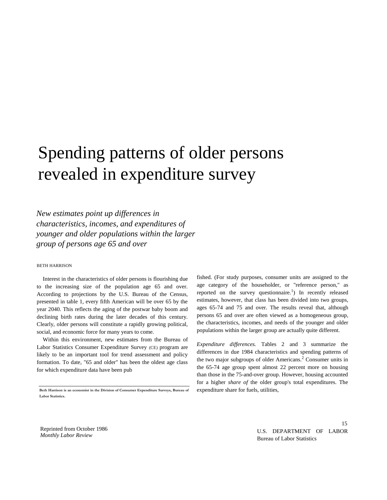## Spending patterns of older persons revealed in expenditure survey

*New estimates point up differences in characteristics, incomes, and expenditures of younger and older populations within the larger group of persons age 65 and over*

## BETH HARRISON

Interest in the characteristics of older persons is flourishing due to the increasing size of the population age 65 and over. According to projections by the U.S. Bureau of the Census, presented in table 1, every fifth American will be over 65 by the year 2040. This reflects the aging of the postwar baby boom and declining birth rates during the later decades of this century. Clearly, older persons will constitute a rapidly growing political, social, and economic force for many years to come.

Within this environment, new estimates from the Bureau of Labor Statistics Consumer Expenditure Survey (CE) program are likely to be an important tool for trend assessment and policy formation. To date, "65 and older" has been the oldest age class for which expenditure data have been pub

fished. (For study purposes, consumer units are assigned to the age category of the householder, or "reference person," as reported on the survey questionnaire.<sup>1</sup>) In recently released estimates, however, that class has been divided into two groups, ages 65-74 and 75 and over. The results reveal that, although persons 65 and over are often viewed as a homogeneous group, the characteristics, incomes, and needs of the younger and older populations within the larger group are actually quite different.

*Expenditure differences.* Tables 2 and 3 summarize the differences in due 1984 characteristics and spending patterns of the two major subgroups of older Americans.<sup>2</sup> Consumer units in the 65-74 age group spent almost 22 percent more on housing than those in the 75-and-over group. However, housing accounted for a higher *share of* the older group's total expenditures. The expenditure share for fuels, utilities,

Reprinted from October 1986 *Monthly Labor Review*

U.S. DEPARTMENT OF LABOR Bureau of Labor Statistics

15

**Beth Harrison is an economist in the Division of Consumer Expenditure Surveys, Bureau of Labor Statistics.**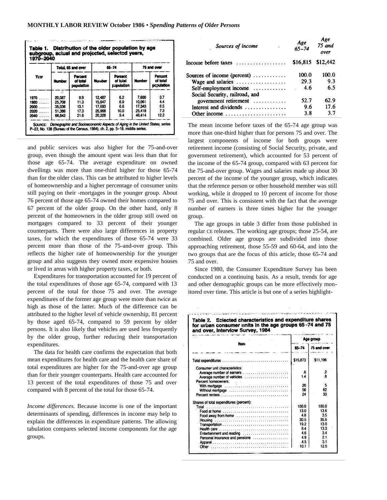|      | Total, 65 and over |                                   |               | 65-74                             | 75 and over   |                                   |  |
|------|--------------------|-----------------------------------|---------------|-----------------------------------|---------------|-----------------------------------|--|
| Year | <b>Number</b>      | Parcent<br>of total<br>population | <b>Number</b> | Percent<br>of total<br>population | <b>Number</b> | Percent<br>of total<br>pepulation |  |
| 1970 | Z<br>20.087        | 99                                | 12.487        | 6.2                               | 7.600         | 3.7                               |  |
| 1960 | 25.708             | 11.3                              | 15.647        | 69                                | 10.061        | 4.4                               |  |
| 2000 | 35.036             | 13.1                              | 17.693        | 6.6                               | 17.343        | 6.5                               |  |
| 2020 | 51.386             | 17.3                              | 25.968        | 10.0                              | 25.418        | 7.3                               |  |
| 2040 | 66.642             | 21.6                              | 20.228        | 9.4                               | 46,414        | 12.2                              |  |

and public services was also higher for the 75-and-over group, even though the amount spent was less than that for those age 65-74. The average expenditure on owned dwellings was more than one-third higher for those 65-74 than for the older class. This can be attributed to higher levels of homeownership and a higher percentage of consumer units still paying on their -mortgages in the younger group. About 76 percent of those age 65-74 owned their homes compared to 67 percent of the older group. On the other hand, only 8 percent of the homeowners in the older group still owed on mortgages compared to 33 percent of their younger counterparts. There were also large differences in property taxes, for which the expenditures of those 65-74 were 33 percent more than those of the 75-and-over group. This reflects the higher rate of homeownership for the younger group and also suggests they owned more expensive houses or lived in areas with higher property taxes, or both.

Expenditures for transportation accounted for 19 percent of the total expenditures of those age 65-74, compared with 13 percent of the total for those 75 and over. The average expenditures of the former age group were more than twice as high as those of the latter. Much of the difference can be attributed to the higher level of vehicle ownership, 81 percent by those aged 65-74, compared to 59 percent by older persons. It is also likely that vehicles are used less frequently by the older group, further reducing their transportation expenditures.

The data for health care confirms the expectation that both mean expenditures for health care and the health care share of total expenditures are higher for the 75-and-over age group than for their younger counterparts. Health care accounted for 13 percent of the total expenditures of those 75 and over compared with 8 percent of the total for those 65-74.

*Income differences.* Because income is one of the important determinants of spending, differences in income may help to explain the differences in expenditure patterns. The allowing tabulation compares selected income components for the age groups.

| Sources of income<br>$\sim 3\%$                         | Age<br>65–74 | Age<br>75 and<br>over |  |
|---------------------------------------------------------|--------------|-----------------------|--|
| Income before taxes $\ldots$ , , , ,                    |              | \$16,815 \$12,442     |  |
| Sources of income (percent) $\dots \dots$               | 100.0        | 100.0                 |  |
| Wage and salaries                                       | 29.3         | 9.3                   |  |
| Self-employment income $\dots\dots\dots\dots$           | -4.6         | 6.5                   |  |
| Social Security, railroad, and                          |              |                       |  |
| government retirement $\ldots \ldots \ldots$            | 52.7         | 62.9                  |  |
| Interest and dividends $\dots\dots\dots\dots$           | 9.6          | 17.6                  |  |
| Other income $\dots\dots\dots\dots\dots\dots\dots\dots$ | 3.8          | 3.7                   |  |
|                                                         |              |                       |  |

The mean income before taxes of the 65-74 age group was more than one-third higher than for persons 75 and over. The largest components of income for both groups were retirement income (consisting of Social Security, private, and government retirement), which accounted for 53 percent of the income of the 65-74 group, compared with 63 percent for the 75-and-over group. Wages and salaries made up about 30 percent of the income of the younger group, which indicates that the reference person or other household member was still working, while it dropped to 10 percent of income for those 75 and over. This is consistent with the fact that the average number of earners is three times higher for the younger group.

The age groups in table 3 differ from those published in regular CE releases. The working age groups; those 25-54, are combined. Older age groups are subdivided into those approaching retirement, those 55-59 and 60-64, and into the two groups that are the focus of this article, those 65-74 and 75 and over.

Since 1980, the Consumer Expenditure Survey has been conducted on a continuing basis. As a result, trends for age and other demographic groups can be more effectively monitored over time. This article is but one of a series highlight-

| $65 - 74$<br>\$15,873<br>\$11,196<br>Consumer unit characteristics:<br>.2<br>.6<br>$\overline{\mathbf{8}}$<br>14<br>Average number of vehicles<br>Percent homeowners:<br>20<br>5<br>56<br>62<br>Without mortgage<br>24<br>33<br>100.0<br>100.0<br>13.0<br>13.6<br>Food at home $\ldots \ldots \ldots \ldots \ldots \ldots \ldots \ldots \ldots$<br>3.5<br>4.B<br>Food away from home<br>35.5<br>30.5<br>19.2<br>13.0<br>13.3<br>84<br>Health care $\ldots \ldots \ldots \ldots \ldots \ldots \ldots \ldots \ldots \ldots$<br>46<br>3.4<br>Entertainment and reading<br>4.9<br>2.1<br>Personal insurance and pensions<br>3.1<br>$-4.5$ | <b>Rem</b>                              | Age group |             |  |  |
|---------------------------------------------------------------------------------------------------------------------------------------------------------------------------------------------------------------------------------------------------------------------------------------------------------------------------------------------------------------------------------------------------------------------------------------------------------------------------------------------------------------------------------------------------------------------------------------------------------------------------------------|-----------------------------------------|-----------|-------------|--|--|
|                                                                                                                                                                                                                                                                                                                                                                                                                                                                                                                                                                                                                                       |                                         |           | 75 and over |  |  |
|                                                                                                                                                                                                                                                                                                                                                                                                                                                                                                                                                                                                                                       |                                         |           |             |  |  |
|                                                                                                                                                                                                                                                                                                                                                                                                                                                                                                                                                                                                                                       |                                         |           |             |  |  |
|                                                                                                                                                                                                                                                                                                                                                                                                                                                                                                                                                                                                                                       |                                         |           |             |  |  |
|                                                                                                                                                                                                                                                                                                                                                                                                                                                                                                                                                                                                                                       |                                         |           |             |  |  |
|                                                                                                                                                                                                                                                                                                                                                                                                                                                                                                                                                                                                                                       |                                         |           |             |  |  |
|                                                                                                                                                                                                                                                                                                                                                                                                                                                                                                                                                                                                                                       |                                         |           |             |  |  |
|                                                                                                                                                                                                                                                                                                                                                                                                                                                                                                                                                                                                                                       |                                         |           |             |  |  |
|                                                                                                                                                                                                                                                                                                                                                                                                                                                                                                                                                                                                                                       | Shares of total expenditures (percent): |           |             |  |  |
|                                                                                                                                                                                                                                                                                                                                                                                                                                                                                                                                                                                                                                       |                                         |           |             |  |  |
|                                                                                                                                                                                                                                                                                                                                                                                                                                                                                                                                                                                                                                       |                                         |           |             |  |  |
|                                                                                                                                                                                                                                                                                                                                                                                                                                                                                                                                                                                                                                       |                                         |           |             |  |  |
|                                                                                                                                                                                                                                                                                                                                                                                                                                                                                                                                                                                                                                       |                                         |           |             |  |  |
|                                                                                                                                                                                                                                                                                                                                                                                                                                                                                                                                                                                                                                       |                                         |           |             |  |  |
|                                                                                                                                                                                                                                                                                                                                                                                                                                                                                                                                                                                                                                       |                                         |           |             |  |  |
|                                                                                                                                                                                                                                                                                                                                                                                                                                                                                                                                                                                                                                       |                                         |           |             |  |  |
|                                                                                                                                                                                                                                                                                                                                                                                                                                                                                                                                                                                                                                       |                                         |           |             |  |  |
| 12.5                                                                                                                                                                                                                                                                                                                                                                                                                                                                                                                                                                                                                                  |                                         |           |             |  |  |